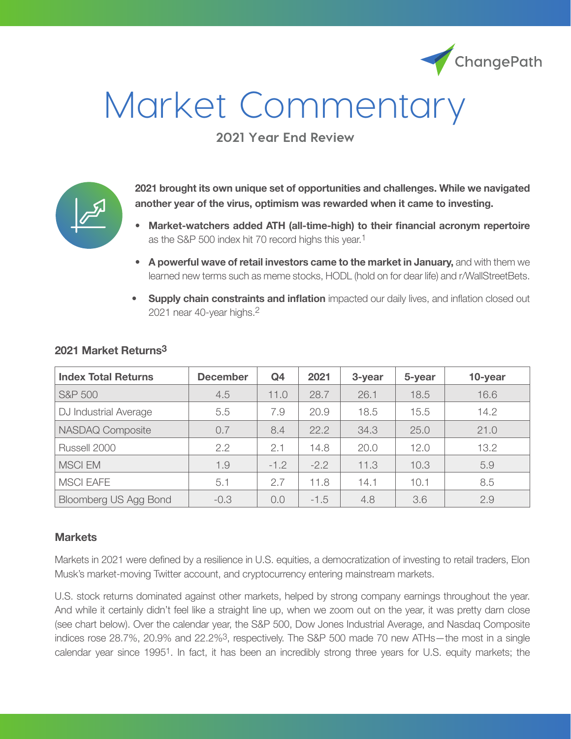

# Market Commentary

**2021 Year End Review**



**2021 brought its own unique set of opportunities and challenges. While we navigated another year of the virus, optimism was rewarded when it came to investing.** 

- **• Market-watchers added ATH (all-time-high) to their financial acronym repertoire** as the S&P 500 index hit 70 record highs this year.<sup>1</sup>
- **• A powerful wave of retail investors came to the market in January,** and with them we learned new terms such as meme stocks, HODL (hold on for dear life) and r/WallStreetBets.
- **• Supply chain constraints and inflation** impacted our daily lives, and inflation closed out 2021 near 40-year highs.2

| <b>Index Total Returns</b> | <b>December</b> | Q <sub>4</sub> | 2021   | 3-year | 5-year | 10-year |
|----------------------------|-----------------|----------------|--------|--------|--------|---------|
| <b>S&amp;P 500</b>         | 4.5             | 11.0           | 28.7   | 26.1   | 18.5   | 16.6    |
| DJ Industrial Average      | 5.5             | 7.9            | 20.9   | 18.5   | 15.5   | 14.2    |
| NASDAQ Composite           | 0.7             | 8.4            | 22.2   | 34.3   | 25.0   | 21.0    |
| Russell 2000               | 2.2             | 2.1            | 14.8   | 20.0   | 12.0   | 13.2    |
| <b>MSCI EM</b>             | 1.9             | $-1.2$         | $-2.2$ | 11.3   | 10.3   | 5.9     |
| <b>MSCI EAFE</b>           | 5.1             | 2.7            | 11.8   | 14.1   | 10.1   | 8.5     |
| Bloomberg US Agg Bond      | $-0.3$          | 0.0            | $-1.5$ | 4.8    | 3.6    | 2.9     |

### **2021 Market Returns3**

### **Markets**

Markets in 2021 were defined by a resilience in U.S. equities, a democratization of investing to retail traders, Elon Musk's market-moving Twitter account, and cryptocurrency entering mainstream markets.

U.S. stock returns dominated against other markets, helped by strong company earnings throughout the year. And while it certainly didn't feel like a straight line up, when we zoom out on the year, it was pretty darn close (see chart below). Over the calendar year, the S&P 500, Dow Jones Industrial Average, and Nasdaq Composite indices rose 28.7%, 20.9% and 22.2%3, respectively. The S&P 500 made 70 new ATHs—the most in a single calendar year since 19951. In fact, it has been an incredibly strong three years for U.S. equity markets; the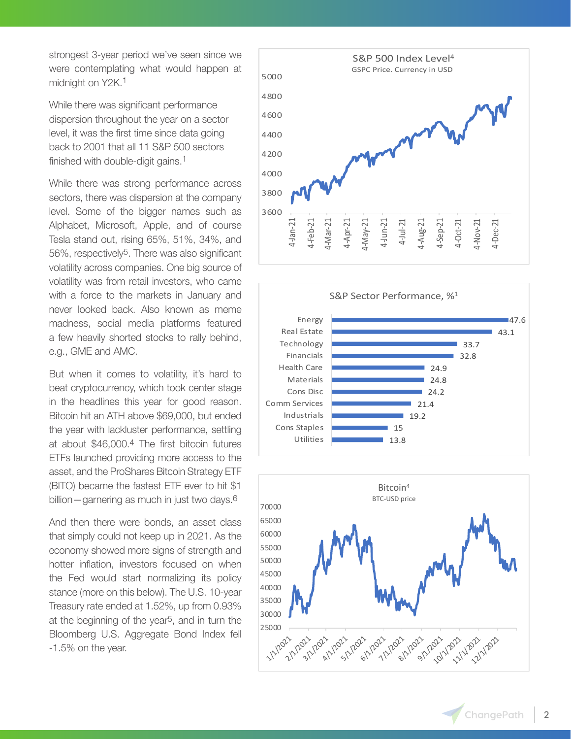strongest 3-year period we've seen since we were contemplating what would happen at midnight on Y2K.<sup>1</sup>

While there was significant performance dispersion throughout the year on a sector level, it was the first time since data going back to 2001 that all 11 S&P 500 sectors finished with double-digit gains.<sup>1</sup>

While there was strong performance across sectors, there was dispersion at the company level. Some of the bigger names such as Alphabet, Microsoft, Apple, and of course Tesla stand out, rising 65%, 51%, 34%, and 56%, respectively5. There was also significant volatility across companies. One big source of volatility was from retail investors, who came with a force to the markets in January and never looked back. Also known as meme madness, social media platforms featured a few heavily shorted stocks to rally behind, e.g., GME and AMC.

But when it comes to volatility, it's hard to beat cryptocurrency, which took center stage in the headlines this year for good reason. Bitcoin hit an ATH above \$69,000, but ended the year with lackluster performance, settling at about \$46,000.4 The first bitcoin futures ETFs launched providing more access to the asset, and the ProShares Bitcoin Strategy ETF (BITO) became the fastest ETF ever to hit \$1 billion—garnering as much in just two days.6

And then there were bonds, an asset class that simply could not keep up in 2021. As the economy showed more signs of strength and hotter inflation, investors focused on when the Fed would start normalizing its policy stance (more on this below). The U.S. 10-year Treasury rate ended at 1.52%, up from 0.93% at the beginning of the year5, and in turn the Bloomberg U.S. Aggregate Bond Index fell -1.5% on the year.





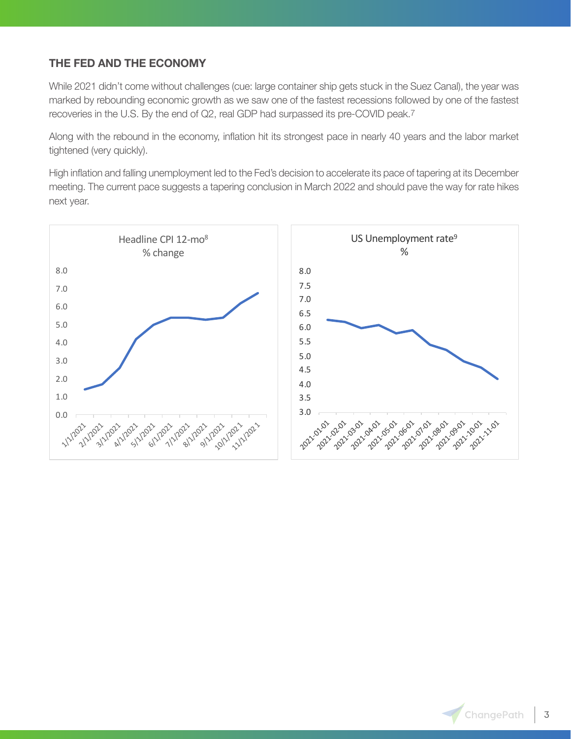## **THE FED AND THE ECONOMY**

While 2021 didn't come without challenges (cue: large container ship gets stuck in the Suez Canal), the year was marked by rebounding economic growth as we saw one of the fastest recessions followed by one of the fastest recoveries in the U.S. By the end of Q2, real GDP had surpassed its pre-COVID peak.7

Along with the rebound in the economy, inflation hit its strongest pace in nearly 40 years and the labor market tightened (very quickly).

High inflation and falling unemployment led to the Fed's decision to accelerate its pace of tapering at its December meeting. The current pace suggests a tapering conclusion in March 2022 and should pave the way for rate hikes next year.